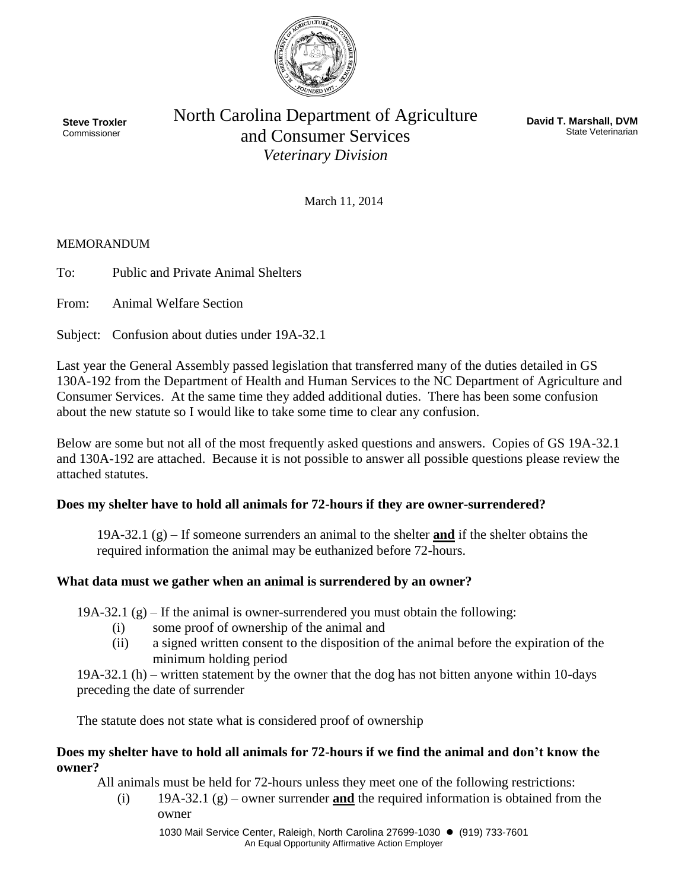

**Steve Troxler** Commissioner

North Carolina Department of Agriculture and Consumer Services *Veterinary Division*

**David T. Marshall, DVM** State Veterinarian

March 11, 2014

### **MEMORANDUM**

To: Public and Private Animal Shelters

From: Animal Welfare Section

Subject: Confusion about duties under 19A-32.1

Last year the General Assembly passed legislation that transferred many of the duties detailed in GS 130A-192 from the Department of Health and Human Services to the NC Department of Agriculture and Consumer Services. At the same time they added additional duties. There has been some confusion about the new statute so I would like to take some time to clear any confusion.

Below are some but not all of the most frequently asked questions and answers. Copies of GS 19A-32.1 and 130A-192 are attached. Because it is not possible to answer all possible questions please review the attached statutes.

### **Does my shelter have to hold all animals for 72-hours if they are owner-surrendered?**

19A-32.1 (g) – If someone surrenders an animal to the shelter **and** if the shelter obtains the required information the animal may be euthanized before 72-hours.

### **What data must we gather when an animal is surrendered by an owner?**

19A-32.1  $(g)$  – If the animal is owner-surrendered you must obtain the following:

- (i) some proof of ownership of the animal and
- (ii) a signed written consent to the disposition of the animal before the expiration of the minimum holding period

19A-32.1 (h) – written statement by the owner that the dog has not bitten anyone within 10-days preceding the date of surrender

The statute does not state what is considered proof of ownership

### **Does my shelter have to hold all animals for 72-hours if we find the animal and don't know the owner?**

All animals must be held for 72-hours unless they meet one of the following restrictions:

(i) 19A-32.1 (g) – owner surrender **and** the required information is obtained from the owner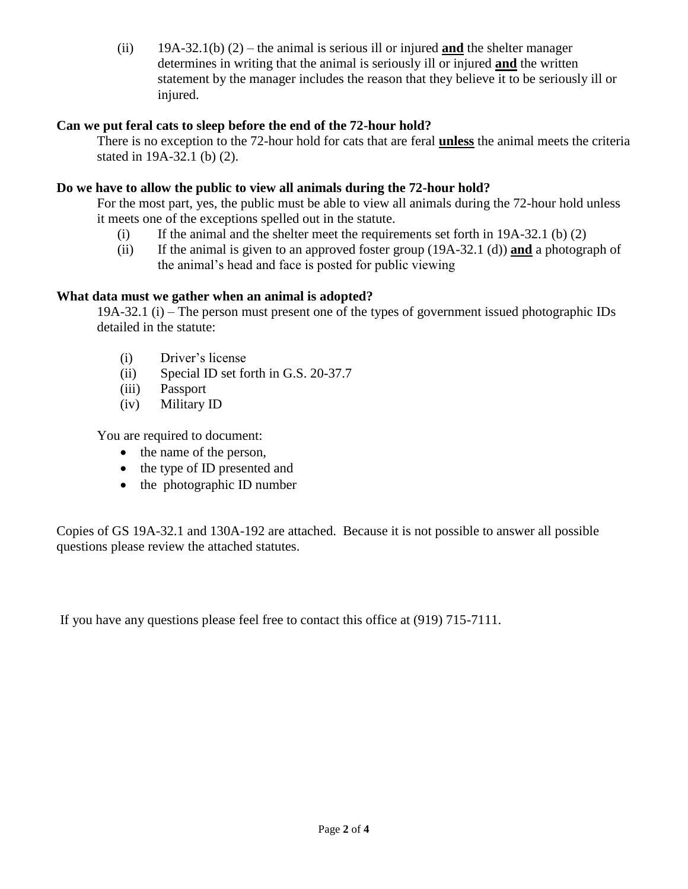(ii) 19A-32.1(b) (2) – the animal is serious ill or injured **and** the shelter manager determines in writing that the animal is seriously ill or injured **and** the written statement by the manager includes the reason that they believe it to be seriously ill or injured.

## **Can we put feral cats to sleep before the end of the 72-hour hold?**

There is no exception to the 72-hour hold for cats that are feral **unless** the animal meets the criteria stated in 19A-32.1 (b) (2).

# **Do we have to allow the public to view all animals during the 72-hour hold?**

For the most part, yes, the public must be able to view all animals during the 72-hour hold unless it meets one of the exceptions spelled out in the statute.

- (i) If the animal and the shelter meet the requirements set forth in 19A-32.1 (b) (2)
- (ii) If the animal is given to an approved foster group (19A-32.1 (d)) **and** a photograph of the animal's head and face is posted for public viewing

# **What data must we gather when an animal is adopted?**

19A-32.1 (i) – The person must present one of the types of government issued photographic IDs detailed in the statute:

- (i) Driver's license
- (ii) Special ID set forth in G.S. 20-37.7
- (iii) Passport
- (iv) Military ID

You are required to document:

- the name of the person,
- the type of ID presented and
- $\bullet$  the photographic ID number

Copies of GS 19A-32.1 and 130A-192 are attached. Because it is not possible to answer all possible questions please review the attached statutes.

If you have any questions please feel free to contact this office at (919) 715-7111.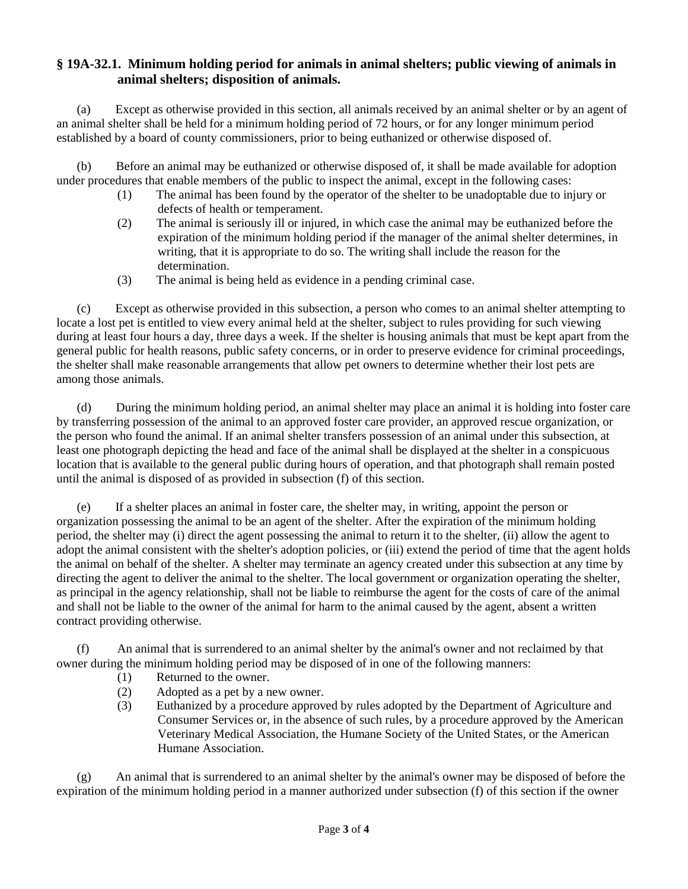### **§ 19A-32.1. Minimum holding period for animals in animal shelters; public viewing of animals in animal shelters; disposition of animals.**

(a) Except as otherwise provided in this section, all animals received by an animal shelter or by an agent of an animal shelter shall be held for a minimum holding period of 72 hours, or for any longer minimum period established by a board of county commissioners, prior to being euthanized or otherwise disposed of.

(b) Before an animal may be euthanized or otherwise disposed of, it shall be made available for adoption under procedures that enable members of the public to inspect the animal, except in the following cases:

- (1) The animal has been found by the operator of the shelter to be unadoptable due to injury or defects of health or temperament.
- (2) The animal is seriously ill or injured, in which case the animal may be euthanized before the expiration of the minimum holding period if the manager of the animal shelter determines, in writing, that it is appropriate to do so. The writing shall include the reason for the determination.
- (3) The animal is being held as evidence in a pending criminal case.

(c) Except as otherwise provided in this subsection, a person who comes to an animal shelter attempting to locate a lost pet is entitled to view every animal held at the shelter, subject to rules providing for such viewing during at least four hours a day, three days a week. If the shelter is housing animals that must be kept apart from the general public for health reasons, public safety concerns, or in order to preserve evidence for criminal proceedings, the shelter shall make reasonable arrangements that allow pet owners to determine whether their lost pets are among those animals.

(d) During the minimum holding period, an animal shelter may place an animal it is holding into foster care by transferring possession of the animal to an approved foster care provider, an approved rescue organization, or the person who found the animal. If an animal shelter transfers possession of an animal under this subsection, at least one photograph depicting the head and face of the animal shall be displayed at the shelter in a conspicuous location that is available to the general public during hours of operation, and that photograph shall remain posted until the animal is disposed of as provided in subsection (f) of this section.

(e) If a shelter places an animal in foster care, the shelter may, in writing, appoint the person or organization possessing the animal to be an agent of the shelter. After the expiration of the minimum holding period, the shelter may (i) direct the agent possessing the animal to return it to the shelter, (ii) allow the agent to adopt the animal consistent with the shelter's adoption policies, or (iii) extend the period of time that the agent holds the animal on behalf of the shelter. A shelter may terminate an agency created under this subsection at any time by directing the agent to deliver the animal to the shelter. The local government or organization operating the shelter, as principal in the agency relationship, shall not be liable to reimburse the agent for the costs of care of the animal and shall not be liable to the owner of the animal for harm to the animal caused by the agent, absent a written contract providing otherwise.

(f) An animal that is surrendered to an animal shelter by the animal's owner and not reclaimed by that owner during the minimum holding period may be disposed of in one of the following manners:

- (1) Returned to the owner.
- (2) Adopted as a pet by a new owner.
- (3) Euthanized by a procedure approved by rules adopted by the Department of Agriculture and Consumer Services or, in the absence of such rules, by a procedure approved by the American Veterinary Medical Association, the Humane Society of the United States, or the American Humane Association.

(g) An animal that is surrendered to an animal shelter by the animal's owner may be disposed of before the expiration of the minimum holding period in a manner authorized under subsection (f) of this section if the owner